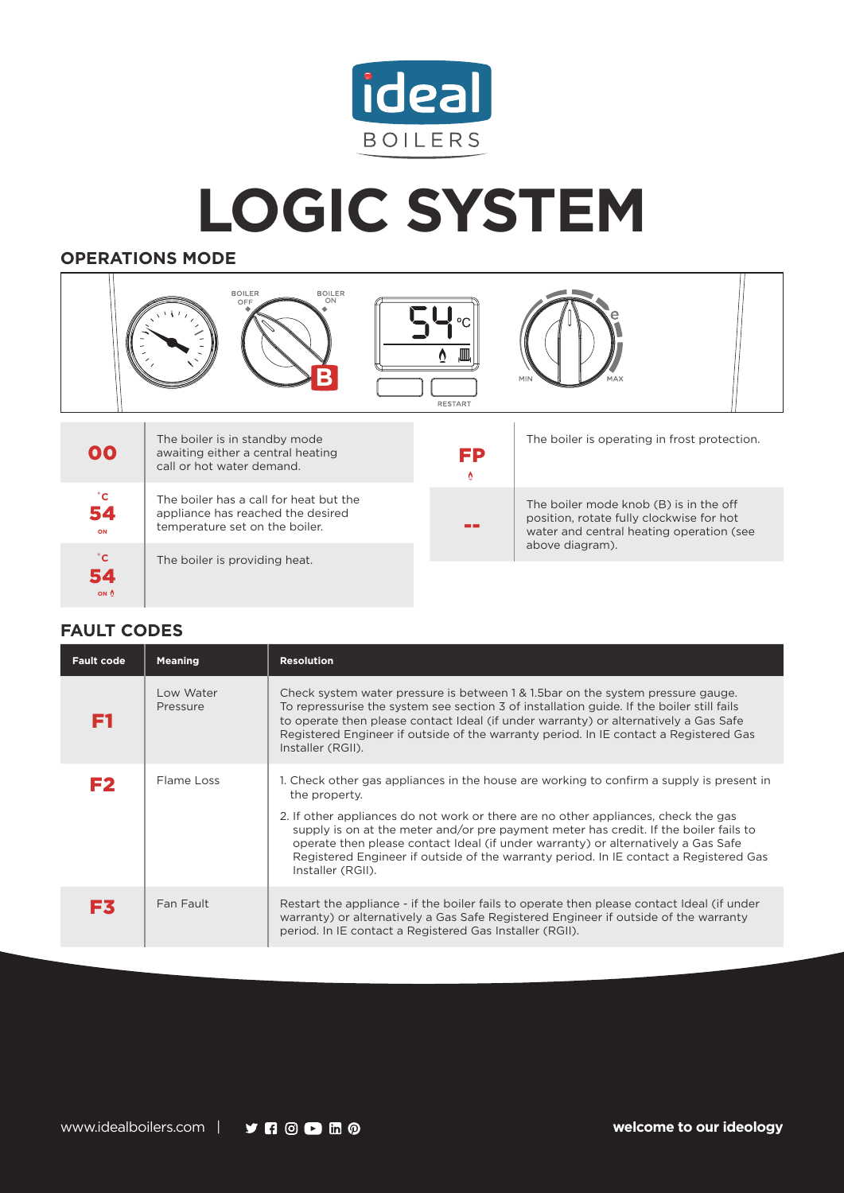

## **LOGIC SYSTEM**

## **OPERATIONS MODE**



## **FAULT CODES**

54

**ON**

| <b>Fault code</b> | <b>Meaning</b>        | <b>Resolution</b>                                                                                                                                                                                                                                                                                                                                                                                                                                                                           |
|-------------------|-----------------------|---------------------------------------------------------------------------------------------------------------------------------------------------------------------------------------------------------------------------------------------------------------------------------------------------------------------------------------------------------------------------------------------------------------------------------------------------------------------------------------------|
| FТ                | Low Water<br>Pressure | Check system water pressure is between 1 & 1.5 bar on the system pressure gauge.<br>To repressurise the system see section 3 of installation guide. If the boiler still fails<br>to operate then please contact Ideal (if under warranty) or alternatively a Gas Safe<br>Registered Engineer if outside of the warranty period. In IE contact a Registered Gas<br>Installer (RGII).                                                                                                         |
| F <sub>2</sub>    | Flame Loss            | 1. Check other gas appliances in the house are working to confirm a supply is present in<br>the property.<br>2. If other appliances do not work or there are no other appliances, check the gas<br>supply is on at the meter and/or pre payment meter has credit. If the boiler fails to<br>operate then please contact Ideal (if under warranty) or alternatively a Gas Safe<br>Registered Engineer if outside of the warranty period. In IE contact a Registered Gas<br>Installer (RGII). |
| Ex.               | Fan Fault             | Restart the appliance - if the boiler fails to operate then please contact Ideal (if under<br>warranty) or alternatively a Gas Safe Registered Engineer if outside of the warranty<br>period. In IE contact a Registered Gas Installer (RGII).                                                                                                                                                                                                                                              |